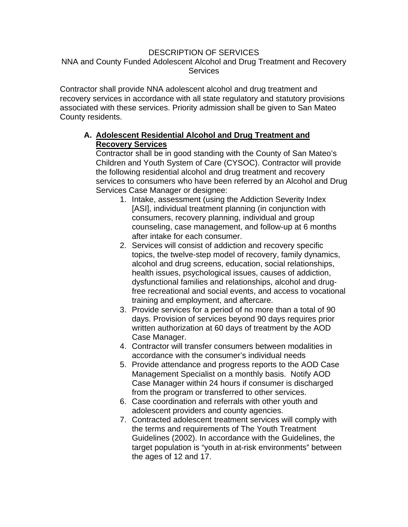## DESCRIPTION OF SERVICES

## NNA and County Funded Adolescent Alcohol and Drug Treatment and Recovery **Services**

Contractor shall provide NNA adolescent alcohol and drug treatment and recovery services in accordance with all state regulatory and statutory provisions associated with these services. Priority admission shall be given to San Mateo County residents.

## **A. Adolescent Residential Alcohol and Drug Treatment and Recovery Services**

Contractor shall be in good standing with the County of San Mateo's Children and Youth System of Care (CYSOC). Contractor will provide the following residential alcohol and drug treatment and recovery services to consumers who have been referred by an Alcohol and Drug Services Case Manager or designee:

- 1. Intake, assessment (using the Addiction Severity Index [ASI], individual treatment planning (in conjunction with consumers, recovery planning, individual and group counseling, case management, and follow-up at 6 months after intake for each consumer.
- 2. Services will consist of addiction and recovery specific topics, the twelve-step model of recovery, family dynamics, alcohol and drug screens, education, social relationships, health issues, psychological issues, causes of addiction, dysfunctional families and relationships, alcohol and drugfree recreational and social events, and access to vocational training and employment, and aftercare.
- 3. Provide services for a period of no more than a total of 90 days. Provision of services beyond 90 days requires prior written authorization at 60 days of treatment by the AOD Case Manager.
- 4. Contractor will transfer consumers between modalities in accordance with the consumer's individual needs
- 5. Provide attendance and progress reports to the AOD Case Management Specialist on a monthly basis. Notify AOD Case Manager within 24 hours if consumer is discharged from the program or transferred to other services.
- 6. Case coordination and referrals with other youth and adolescent providers and county agencies.
- 7. Contracted adolescent treatment services will comply with the terms and requirements of The Youth Treatment Guidelines (2002). In accordance with the Guidelines, the target population is "youth in at-risk environments" between the ages of 12 and 17.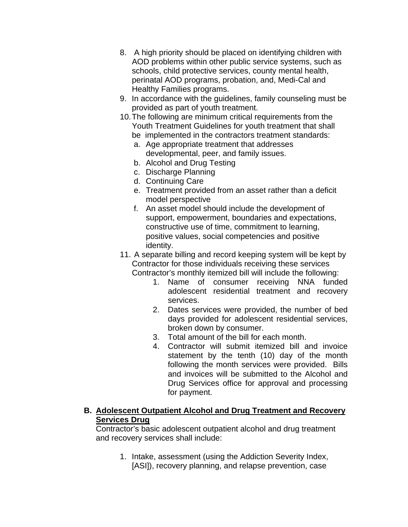- 8. A high priority should be placed on identifying children with AOD problems within other public service systems, such as schools, child protective services, county mental health, perinatal AOD programs, probation, and, Medi-Cal and Healthy Families programs.
- 9. In accordance with the guidelines, family counseling must be provided as part of youth treatment.
- 10. The following are minimum critical requirements from the Youth Treatment Guidelines for youth treatment that shall
	- be implemented in the contractors treatment standards:
	- a. Age appropriate treatment that addresses developmental, peer, and family issues.
	- b. Alcohol and Drug Testing
	- c. Discharge Planning
	- d. Continuing Care
	- e. Treatment provided from an asset rather than a deficit model perspective
	- f. An asset model should include the development of support, empowerment, boundaries and expectations, constructive use of time, commitment to learning, positive values, social competencies and positive identity.
- 11. A separate billing and record keeping system will be kept by Contractor for those individuals receiving these services Contractor's monthly itemized bill will include the following:
	- 1. Name of consumer receiving NNA funded adolescent residential treatment and recovery services.
	- 2. Dates services were provided, the number of bed days provided for adolescent residential services, broken down by consumer.
	- 3. Total amount of the bill for each month.
	- 4. Contractor will submit itemized bill and invoice statement by the tenth (10) day of the month following the month services were provided. Bills and invoices will be submitted to the Alcohol and Drug Services office for approval and processing for payment.

## **B. Adolescent Outpatient Alcohol and Drug Treatment and Recovery Services Drug**

Contractor's basic adolescent outpatient alcohol and drug treatment and recovery services shall include:

> 1. Intake, assessment (using the Addiction Severity Index, [ASI]), recovery planning, and relapse prevention, case